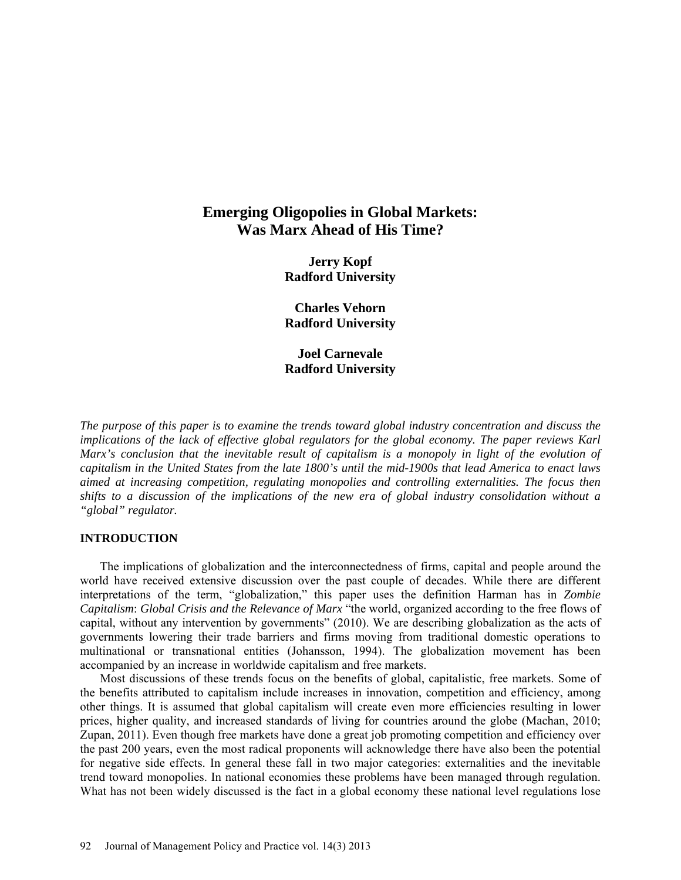# **Emerging Oligopolies in Global Markets: Was Marx Ahead of His Time?**

**Jerry Kopf Radford University**

**Charles Vehorn Radford University**

**Joel Carnevale Radford University**

*The purpose of this paper is to examine the trends toward global industry concentration and discuss the implications of the lack of effective global regulators for the global economy. The paper reviews Karl Marx's conclusion that the inevitable result of capitalism is a monopoly in light of the evolution of capitalism in the United States from the late 1800's until the mid-1900s that lead America to enact laws aimed at increasing competition, regulating monopolies and controlling externalities. The focus then shifts to a discussion of the implications of the new era of global industry consolidation without a "global" regulator.* 

# **INTRODUCTION**

The implications of globalization and the interconnectedness of firms, capital and people around the world have received extensive discussion over the past couple of decades. While there are different interpretations of the term, "globalization," this paper uses the definition Harman has in *Zombie Capitalism*: *Global Crisis and the Relevance of Marx* "the world, organized according to the free flows of capital, without any intervention by governments" (2010). We are describing globalization as the acts of governments lowering their trade barriers and firms moving from traditional domestic operations to multinational or transnational entities (Johansson, 1994). The globalization movement has been accompanied by an increase in worldwide capitalism and free markets.

Most discussions of these trends focus on the benefits of global, capitalistic, free markets. Some of the benefits attributed to capitalism include increases in innovation, competition and efficiency, among other things. It is assumed that global capitalism will create even more efficiencies resulting in lower prices, higher quality, and increased standards of living for countries around the globe (Machan, 2010; Zupan, 2011). Even though free markets have done a great job promoting competition and efficiency over the past 200 years, even the most radical proponents will acknowledge there have also been the potential for negative side effects. In general these fall in two major categories: externalities and the inevitable trend toward monopolies. In national economies these problems have been managed through regulation. What has not been widely discussed is the fact in a global economy these national level regulations lose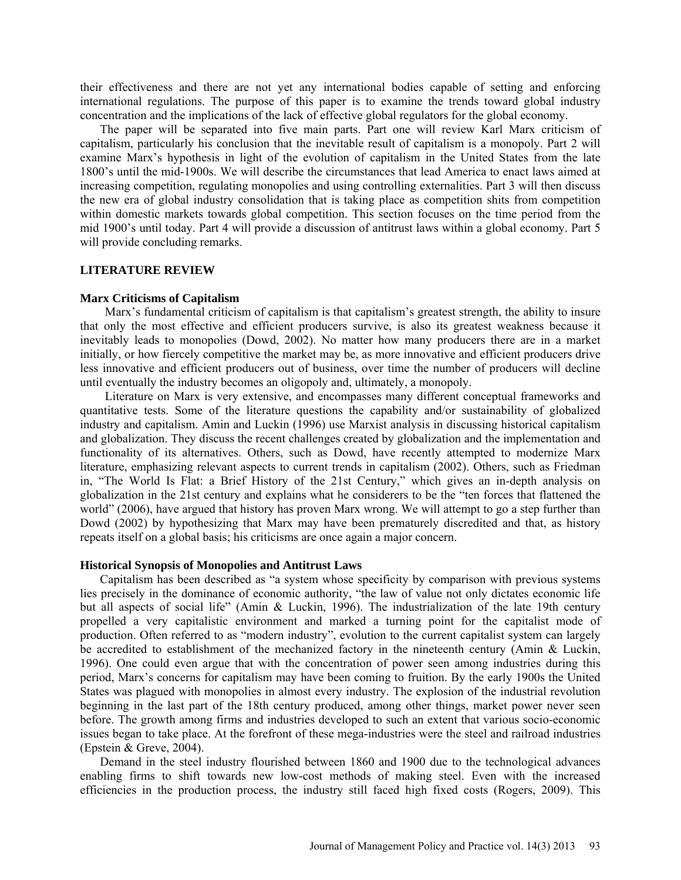their effectiveness and there are not yet any international bodies capable of setting and enforcing international regulations. The purpose of this paper is to examine the trends toward global industry concentration and the implications of the lack of effective global regulators for the global economy.

The paper will be separated into five main parts. Part one will review Karl Marx criticism of capitalism, particularly his conclusion that the inevitable result of capitalism is a monopoly. Part 2 will examine Marx's hypothesis in light of the evolution of capitalism in the United States from the late 1800's until the mid-1900s. We will describe the circumstances that lead America to enact laws aimed at increasing competition, regulating monopolies and using controlling externalities. Part 3 will then discuss the new era of global industry consolidation that is taking place as competition shits from competition within domestic markets towards global competition. This section focuses on the time period from the mid 1900's until today. Part 4 will provide a discussion of antitrust laws within a global economy. Part 5 will provide concluding remarks.

#### **LITERATURE REVIEW**

#### **Marx Criticisms of Capitalism**

Marx's fundamental criticism of capitalism is that capitalism's greatest strength, the ability to insure that only the most effective and efficient producers survive, is also its greatest weakness because it inevitably leads to monopolies (Dowd, 2002). No matter how many producers there are in a market initially, or how fiercely competitive the market may be, as more innovative and efficient producers drive less innovative and efficient producers out of business, over time the number of producers will decline until eventually the industry becomes an oligopoly and, ultimately, a monopoly.

Literature on Marx is very extensive, and encompasses many different conceptual frameworks and quantitative tests. Some of the literature questions the capability and/or sustainability of globalized industry and capitalism. Amin and Luckin (1996) use Marxist analysis in discussing historical capitalism and globalization. They discuss the recent challenges created by globalization and the implementation and functionality of its alternatives. Others, such as Dowd, have recently attempted to modernize Marx literature, emphasizing relevant aspects to current trends in capitalism (2002). Others, such as Friedman in, "The World Is Flat: a Brief History of the 21st Century," which gives an in-depth analysis on globalization in the 21st century and explains what he considerers to be the "ten forces that flattened the world" (2006), have argued that history has proven Marx wrong. We will attempt to go a step further than Dowd (2002) by hypothesizing that Marx may have been prematurely discredited and that, as history repeats itself on a global basis; his criticisms are once again a major concern.

#### **Historical Synopsis of Monopolies and Antitrust Laws**

Capitalism has been described as "a system whose specificity by comparison with previous systems lies precisely in the dominance of economic authority, "the law of value not only dictates economic life but all aspects of social life" (Amin & Luckin, 1996). The industrialization of the late 19th century propelled a very capitalistic environment and marked a turning point for the capitalist mode of production. Often referred to as "modern industry", evolution to the current capitalist system can largely be accredited to establishment of the mechanized factory in the nineteenth century (Amin & Luckin, 1996). One could even argue that with the concentration of power seen among industries during this period, Marx's concerns for capitalism may have been coming to fruition. By the early 1900s the United States was plagued with monopolies in almost every industry. The explosion of the industrial revolution beginning in the last part of the 18th century produced, among other things, market power never seen before. The growth among firms and industries developed to such an extent that various socio-economic issues began to take place. At the forefront of these mega-industries were the steel and railroad industries (Epstein & Greve, 2004).

Demand in the steel industry flourished between 1860 and 1900 due to the technological advances enabling firms to shift towards new low-cost methods of making steel. Even with the increased efficiencies in the production process, the industry still faced high fixed costs (Rogers, 2009). This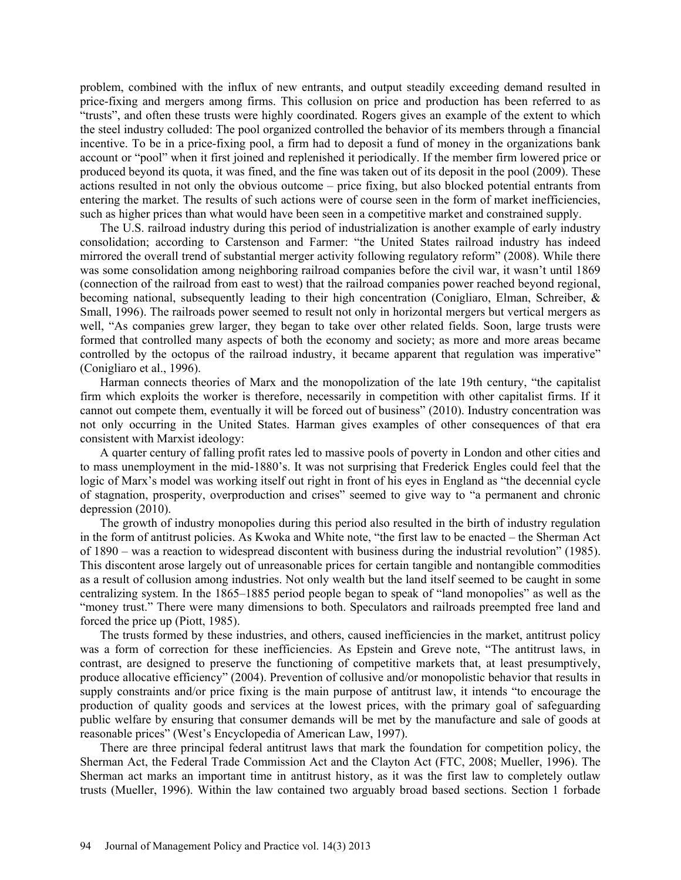problem, combined with the influx of new entrants, and output steadily exceeding demand resulted in price-fixing and mergers among firms. This collusion on price and production has been referred to as "trusts", and often these trusts were highly coordinated. Rogers gives an example of the extent to which the steel industry colluded: The pool organized controlled the behavior of its members through a financial incentive. To be in a price-fixing pool, a firm had to deposit a fund of money in the organizations bank account or "pool" when it first joined and replenished it periodically. If the member firm lowered price or produced beyond its quota, it was fined, and the fine was taken out of its deposit in the pool (2009). These actions resulted in not only the obvious outcome – price fixing, but also blocked potential entrants from entering the market. The results of such actions were of course seen in the form of market inefficiencies, such as higher prices than what would have been seen in a competitive market and constrained supply.

The U.S. railroad industry during this period of industrialization is another example of early industry consolidation; according to Carstenson and Farmer: "the United States railroad industry has indeed mirrored the overall trend of substantial merger activity following regulatory reform" (2008). While there was some consolidation among neighboring railroad companies before the civil war, it wasn't until 1869 (connection of the railroad from east to west) that the railroad companies power reached beyond regional, becoming national, subsequently leading to their high concentration (Conigliaro, Elman, Schreiber, & Small, 1996). The railroads power seemed to result not only in horizontal mergers but vertical mergers as well, "As companies grew larger, they began to take over other related fields. Soon, large trusts were formed that controlled many aspects of both the economy and society; as more and more areas became controlled by the octopus of the railroad industry, it became apparent that regulation was imperative" (Conigliaro et al., 1996).

Harman connects theories of Marx and the monopolization of the late 19th century, "the capitalist firm which exploits the worker is therefore, necessarily in competition with other capitalist firms. If it cannot out compete them, eventually it will be forced out of business" (2010). Industry concentration was not only occurring in the United States. Harman gives examples of other consequences of that era consistent with Marxist ideology:

A quarter century of falling profit rates led to massive pools of poverty in London and other cities and to mass unemployment in the mid-1880's. It was not surprising that Frederick Engles could feel that the logic of Marx's model was working itself out right in front of his eyes in England as "the decennial cycle of stagnation, prosperity, overproduction and crises" seemed to give way to "a permanent and chronic depression (2010).

The growth of industry monopolies during this period also resulted in the birth of industry regulation in the form of antitrust policies. As Kwoka and White note, "the first law to be enacted – the Sherman Act of 1890 – was a reaction to widespread discontent with business during the industrial revolution" (1985). This discontent arose largely out of unreasonable prices for certain tangible and nontangible commodities as a result of collusion among industries. Not only wealth but the land itself seemed to be caught in some centralizing system. In the 1865–1885 period people began to speak of "land monopolies" as well as the "money trust." There were many dimensions to both. Speculators and railroads preempted free land and forced the price up (Piott, 1985).

The trusts formed by these industries, and others, caused inefficiencies in the market, antitrust policy was a form of correction for these inefficiencies. As Epstein and Greve note, "The antitrust laws, in contrast, are designed to preserve the functioning of competitive markets that, at least presumptively, produce allocative efficiency" (2004). Prevention of collusive and/or monopolistic behavior that results in supply constraints and/or price fixing is the main purpose of antitrust law, it intends "to encourage the production of quality goods and services at the lowest prices, with the primary goal of safeguarding public welfare by ensuring that consumer demands will be met by the manufacture and sale of goods at reasonable prices" (West's Encyclopedia of American Law, 1997).

There are three principal federal antitrust laws that mark the foundation for competition policy, the Sherman Act, the Federal Trade Commission Act and the Clayton Act (FTC, 2008; Mueller, 1996). The Sherman act marks an important time in antitrust history, as it was the first law to completely outlaw trusts (Mueller, 1996). Within the law contained two arguably broad based sections. Section 1 forbade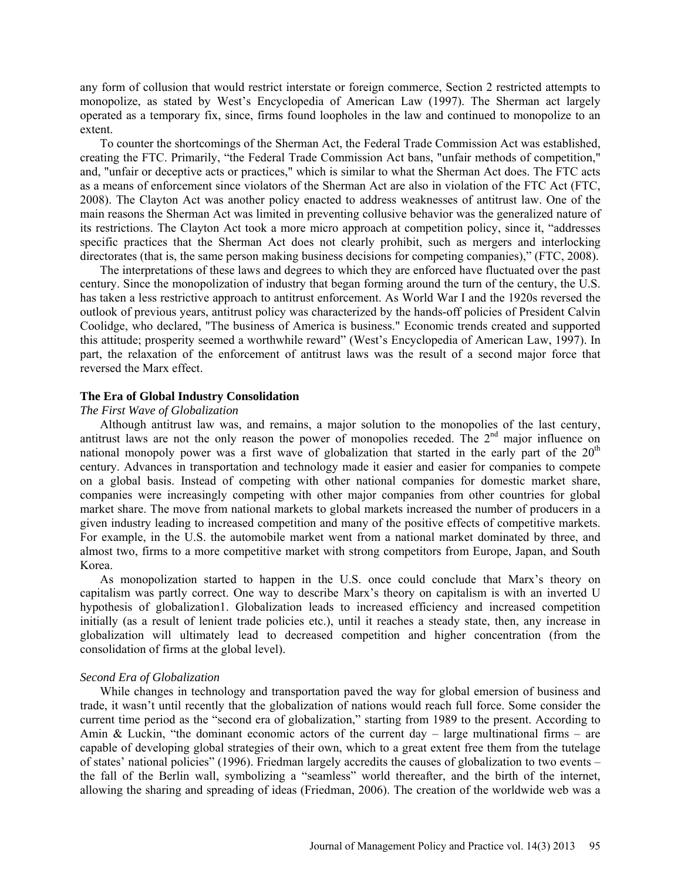any form of collusion that would restrict interstate or foreign commerce, Section 2 restricted attempts to monopolize, as stated by West's Encyclopedia of American Law (1997). The Sherman act largely operated as a temporary fix, since, firms found loopholes in the law and continued to monopolize to an extent.

To counter the shortcomings of the Sherman Act, the Federal Trade Commission Act was established, creating the FTC. Primarily, "the Federal Trade Commission Act bans, "unfair methods of competition," and, "unfair or deceptive acts or practices," which is similar to what the Sherman Act does. The FTC acts as a means of enforcement since violators of the Sherman Act are also in violation of the FTC Act (FTC, 2008). The Clayton Act was another policy enacted to address weaknesses of antitrust law. One of the main reasons the Sherman Act was limited in preventing collusive behavior was the generalized nature of its restrictions. The Clayton Act took a more micro approach at competition policy, since it, "addresses specific practices that the Sherman Act does not clearly prohibit, such as mergers and interlocking directorates (that is, the same person making business decisions for competing companies)," (FTC, 2008).

The interpretations of these laws and degrees to which they are enforced have fluctuated over the past century. Since the monopolization of industry that began forming around the turn of the century, the U.S. has taken a less restrictive approach to antitrust enforcement. As World War I and the 1920s reversed the outlook of previous years, antitrust policy was characterized by the hands-off policies of President Calvin Coolidge, who declared, "The business of America is business." Economic trends created and supported this attitude; prosperity seemed a worthwhile reward" (West's Encyclopedia of American Law, 1997). In part, the relaxation of the enforcement of antitrust laws was the result of a second major force that reversed the Marx effect.

## **The Era of Global Industry Consolidation**

## *The First Wave of Globalization*

Although antitrust law was, and remains, a major solution to the monopolies of the last century, antitrust laws are not the only reason the power of monopolies receded. The  $2<sup>nd</sup>$  major influence on national monopoly power was a first wave of globalization that started in the early part of the  $20<sup>th</sup>$ century. Advances in transportation and technology made it easier and easier for companies to compete on a global basis. Instead of competing with other national companies for domestic market share, companies were increasingly competing with other major companies from other countries for global market share. The move from national markets to global markets increased the number of producers in a given industry leading to increased competition and many of the positive effects of competitive markets. For example, in the U.S. the automobile market went from a national market dominated by three, and almost two, firms to a more competitive market with strong competitors from Europe, Japan, and South Korea.

As monopolization started to happen in the U.S. once could conclude that Marx's theory on capitalism was partly correct. One way to describe Marx's theory on capitalism is with an inverted U hypothesis of globalization1. Globalization leads to increased efficiency and increased competition initially (as a result of lenient trade policies etc.), until it reaches a steady state, then, any increase in globalization will ultimately lead to decreased competition and higher concentration (from the consolidation of firms at the global level).

## *Second Era of Globalization*

While changes in technology and transportation paved the way for global emersion of business and trade, it wasn't until recently that the globalization of nations would reach full force. Some consider the current time period as the "second era of globalization," starting from 1989 to the present. According to Amin & Luckin, "the dominant economic actors of the current day  $-$  large multinational firms  $-$  are capable of developing global strategies of their own, which to a great extent free them from the tutelage of states' national policies" (1996). Friedman largely accredits the causes of globalization to two events – the fall of the Berlin wall, symbolizing a "seamless" world thereafter, and the birth of the internet, allowing the sharing and spreading of ideas (Friedman, 2006). The creation of the worldwide web was a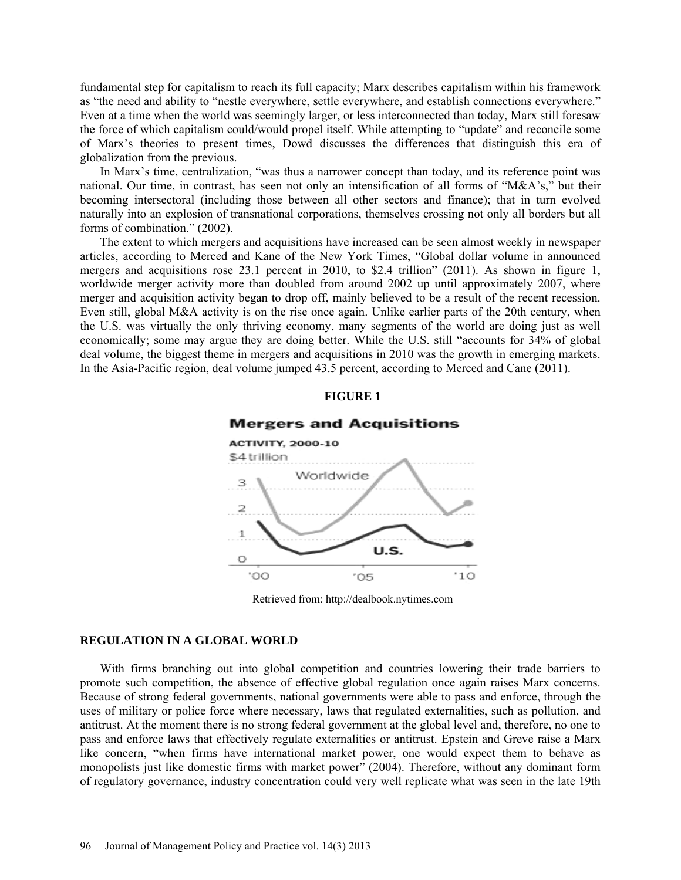fundamental step for capitalism to reach its full capacity; Marx describes capitalism within his framework as "the need and ability to "nestle everywhere, settle everywhere, and establish connections everywhere." Even at a time when the world was seemingly larger, or less interconnected than today, Marx still foresaw the force of which capitalism could/would propel itself. While attempting to "update" and reconcile some of Marx's theories to present times, Dowd discusses the differences that distinguish this era of globalization from the previous.

In Marx's time, centralization, "was thus a narrower concept than today, and its reference point was national. Our time, in contrast, has seen not only an intensification of all forms of "M&A's," but their becoming intersectoral (including those between all other sectors and finance); that in turn evolved naturally into an explosion of transnational corporations, themselves crossing not only all borders but all forms of combination." (2002).

The extent to which mergers and acquisitions have increased can be seen almost weekly in newspaper articles, according to Merced and Kane of the New York Times, "Global dollar volume in announced mergers and acquisitions rose 23.1 percent in 2010, to \$2.4 trillion" (2011). As shown in figure 1, worldwide merger activity more than doubled from around 2002 up until approximately 2007, where merger and acquisition activity began to drop off, mainly believed to be a result of the recent recession. Even still, global M&A activity is on the rise once again. Unlike earlier parts of the 20th century, when the U.S. was virtually the only thriving economy, many segments of the world are doing just as well economically; some may argue they are doing better. While the U.S. still "accounts for 34% of global deal volume, the biggest theme in mergers and acquisitions in 2010 was the growth in emerging markets. In the Asia-Pacific region, deal volume jumped 43.5 percent, according to Merced and Cane (2011).

## **FIGURE 1**



#### **Mergers and Acquisitions**

Retrieved from: http://dealbook.nytimes.com

#### **REGULATION IN A GLOBAL WORLD**

With firms branching out into global competition and countries lowering their trade barriers to promote such competition, the absence of effective global regulation once again raises Marx concerns. Because of strong federal governments, national governments were able to pass and enforce, through the uses of military or police force where necessary, laws that regulated externalities, such as pollution, and antitrust. At the moment there is no strong federal government at the global level and, therefore, no one to pass and enforce laws that effectively regulate externalities or antitrust. Epstein and Greve raise a Marx like concern, "when firms have international market power, one would expect them to behave as monopolists just like domestic firms with market power<sup>5</sup> (2004). Therefore, without any dominant form of regulatory governance, industry concentration could very well replicate what was seen in the late 19th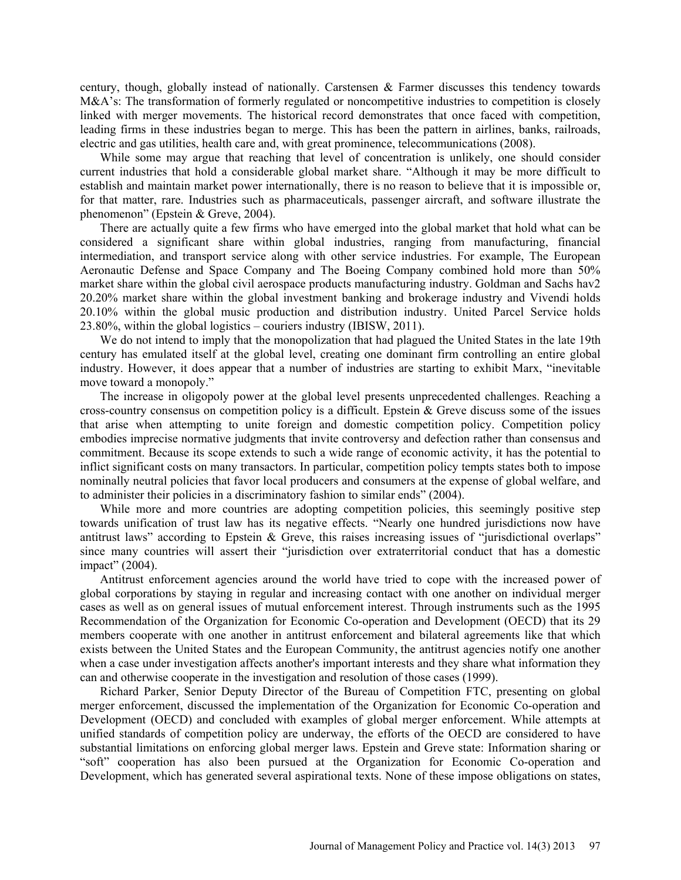century, though, globally instead of nationally. Carstensen & Farmer discusses this tendency towards M&A's: The transformation of formerly regulated or noncompetitive industries to competition is closely linked with merger movements. The historical record demonstrates that once faced with competition, leading firms in these industries began to merge. This has been the pattern in airlines, banks, railroads, electric and gas utilities, health care and, with great prominence, telecommunications (2008).

While some may argue that reaching that level of concentration is unlikely, one should consider current industries that hold a considerable global market share. "Although it may be more difficult to establish and maintain market power internationally, there is no reason to believe that it is impossible or, for that matter, rare. Industries such as pharmaceuticals, passenger aircraft, and software illustrate the phenomenon" (Epstein & Greve, 2004).

There are actually quite a few firms who have emerged into the global market that hold what can be considered a significant share within global industries, ranging from manufacturing, financial intermediation, and transport service along with other service industries. For example, The European Aeronautic Defense and Space Company and The Boeing Company combined hold more than 50% market share within the global civil aerospace products manufacturing industry. Goldman and Sachs hav2 20.20% market share within the global investment banking and brokerage industry and Vivendi holds 20.10% within the global music production and distribution industry. United Parcel Service holds 23.80%, within the global logistics – couriers industry (IBISW, 2011).

We do not intend to imply that the monopolization that had plagued the United States in the late 19th century has emulated itself at the global level, creating one dominant firm controlling an entire global industry. However, it does appear that a number of industries are starting to exhibit Marx, "inevitable move toward a monopoly."

The increase in oligopoly power at the global level presents unprecedented challenges. Reaching a cross-country consensus on competition policy is a difficult. Epstein & Greve discuss some of the issues that arise when attempting to unite foreign and domestic competition policy. Competition policy embodies imprecise normative judgments that invite controversy and defection rather than consensus and commitment. Because its scope extends to such a wide range of economic activity, it has the potential to inflict significant costs on many transactors. In particular, competition policy tempts states both to impose nominally neutral policies that favor local producers and consumers at the expense of global welfare, and to administer their policies in a discriminatory fashion to similar ends" (2004).

While more and more countries are adopting competition policies, this seemingly positive step towards unification of trust law has its negative effects. "Nearly one hundred jurisdictions now have antitrust laws" according to Epstein & Greve, this raises increasing issues of "jurisdictional overlaps" since many countries will assert their "jurisdiction over extraterritorial conduct that has a domestic impact" (2004).

Antitrust enforcement agencies around the world have tried to cope with the increased power of global corporations by staying in regular and increasing contact with one another on individual merger cases as well as on general issues of mutual enforcement interest. Through instruments such as the 1995 Recommendation of the Organization for Economic Co-operation and Development (OECD) that its 29 members cooperate with one another in antitrust enforcement and bilateral agreements like that which exists between the United States and the European Community, the antitrust agencies notify one another when a case under investigation affects another's important interests and they share what information they can and otherwise cooperate in the investigation and resolution of those cases (1999).

Richard Parker, Senior Deputy Director of the Bureau of Competition FTC, presenting on global merger enforcement, discussed the implementation of the Organization for Economic Co-operation and Development (OECD) and concluded with examples of global merger enforcement. While attempts at unified standards of competition policy are underway, the efforts of the OECD are considered to have substantial limitations on enforcing global merger laws. Epstein and Greve state: Information sharing or "soft" cooperation has also been pursued at the Organization for Economic Co-operation and Development, which has generated several aspirational texts. None of these impose obligations on states,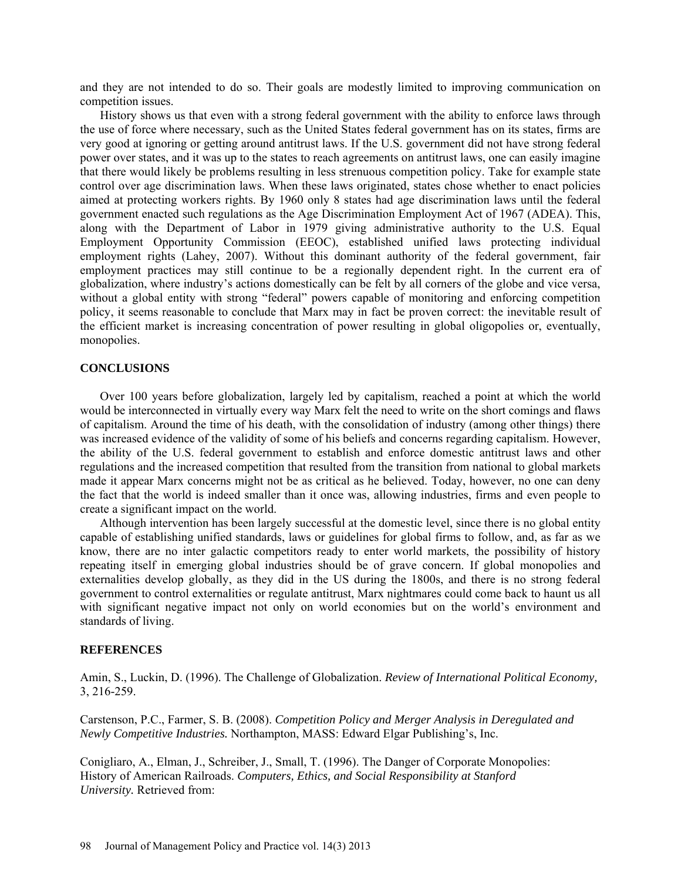and they are not intended to do so. Their goals are modestly limited to improving communication on competition issues.

History shows us that even with a strong federal government with the ability to enforce laws through the use of force where necessary, such as the United States federal government has on its states, firms are very good at ignoring or getting around antitrust laws. If the U.S. government did not have strong federal power over states, and it was up to the states to reach agreements on antitrust laws, one can easily imagine that there would likely be problems resulting in less strenuous competition policy. Take for example state control over age discrimination laws. When these laws originated, states chose whether to enact policies aimed at protecting workers rights. By 1960 only 8 states had age discrimination laws until the federal government enacted such regulations as the Age Discrimination Employment Act of 1967 (ADEA). This, along with the Department of Labor in 1979 giving administrative authority to the U.S. Equal Employment Opportunity Commission (EEOC), established unified laws protecting individual employment rights (Lahey, 2007). Without this dominant authority of the federal government, fair employment practices may still continue to be a regionally dependent right. In the current era of globalization, where industry's actions domestically can be felt by all corners of the globe and vice versa, without a global entity with strong "federal" powers capable of monitoring and enforcing competition policy, it seems reasonable to conclude that Marx may in fact be proven correct: the inevitable result of the efficient market is increasing concentration of power resulting in global oligopolies or, eventually, monopolies.

# **CONCLUSIONS**

Over 100 years before globalization, largely led by capitalism, reached a point at which the world would be interconnected in virtually every way Marx felt the need to write on the short comings and flaws of capitalism. Around the time of his death, with the consolidation of industry (among other things) there was increased evidence of the validity of some of his beliefs and concerns regarding capitalism. However, the ability of the U.S. federal government to establish and enforce domestic antitrust laws and other regulations and the increased competition that resulted from the transition from national to global markets made it appear Marx concerns might not be as critical as he believed. Today, however, no one can deny the fact that the world is indeed smaller than it once was, allowing industries, firms and even people to create a significant impact on the world.

Although intervention has been largely successful at the domestic level, since there is no global entity capable of establishing unified standards, laws or guidelines for global firms to follow, and, as far as we know, there are no inter galactic competitors ready to enter world markets, the possibility of history repeating itself in emerging global industries should be of grave concern. If global monopolies and externalities develop globally, as they did in the US during the 1800s, and there is no strong federal government to control externalities or regulate antitrust, Marx nightmares could come back to haunt us all with significant negative impact not only on world economies but on the world's environment and standards of living.

# **REFERENCES**

Amin, S., Luckin, D. (1996). The Challenge of Globalization. *Review of International Political Economy,* 3, 216-259.

Carstenson, P.C., Farmer, S. B. (2008). *Competition Policy and Merger Analysis in Deregulated and Newly Competitive Industries.* Northampton, MASS: Edward Elgar Publishing's, Inc.

Conigliaro, A., Elman, J., Schreiber, J., Small, T. (1996). The Danger of Corporate Monopolies: History of American Railroads. *Computers, Ethics, and Social Responsibility at Stanford University.* Retrieved from: